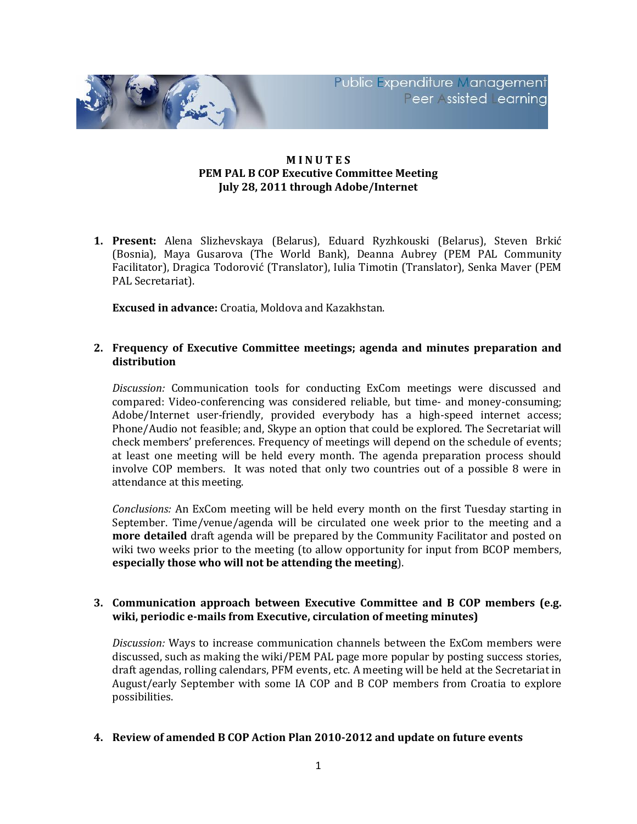

# **M I N U T E S PEM PAL B COP Executive Committee Meeting July 28, 2011 through Adobe/Internet**

**1. Present:** Alena Slizhevskaya (Belarus), Eduard Ryzhkouski (Belarus), Steven Brkić (Bosnia), Maya Gusarova (The World Bank), Deanna Aubrey (PEM PAL Community Facilitator), Dragica Todorović (Translator), Iulia Timotin (Translator), Senka Maver (PEM PAL Secretariat).

**Excused in advance:** Croatia, Moldova and Kazakhstan.

## **2. Frequency of Executive Committee meetings; agenda and minutes preparation and distribution**

*Discussion:* Communication tools for conducting ExCom meetings were discussed and compared: Video-conferencing was considered reliable, but time- and money-consuming; Adobe/Internet user-friendly, provided everybody has a high-speed internet access; Phone/Audio not feasible; and, Skype an option that could be explored. The Secretariat will check members' preferences. Frequency of meetings will depend on the schedule of events; at least one meeting will be held every month. The agenda preparation process should involve COP members. It was noted that only two countries out of a possible 8 were in attendance at this meeting.

*Conclusions:* An ExCom meeting will be held every month on the first Tuesday starting in September. Time/venue/agenda will be circulated one week prior to the meeting and a **more detailed** draft agenda will be prepared by the Community Facilitator and posted on wiki two weeks prior to the meeting (to allow opportunity for input from BCOP members, **especially those who will not be attending the meeting**).

# **3. Communication approach between Executive Committee and B COP members (e.g. wiki, periodic e-mails from Executive, circulation of meeting minutes)**

*Discussion:* Ways to increase communication channels between the ExCom members were discussed, such as making the wiki/PEM PAL page more popular by posting success stories, draft agendas, rolling calendars, PFM events, etc. A meeting will be held at the Secretariat in August/early September with some IA COP and B COP members from Croatia to explore possibilities.

### **4. Review of amended B COP Action Plan 2010-2012 and update on future events**